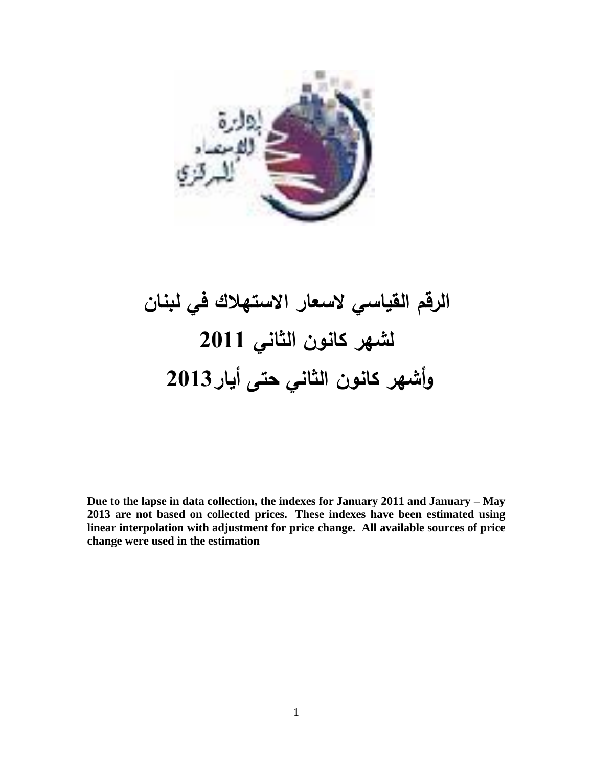

## **الرقم القياسي السعار االستهالك في لبنان لشهر كانون الثاني 1122 وأشهر كانون الثاني حتى أيار1123**

**Due to the lapse in data collection, the indexes for January 2011 and January – May 2013 are not based on collected prices. These indexes have been estimated using linear interpolation with adjustment for price change. All available sources of price change were used in the estimation**